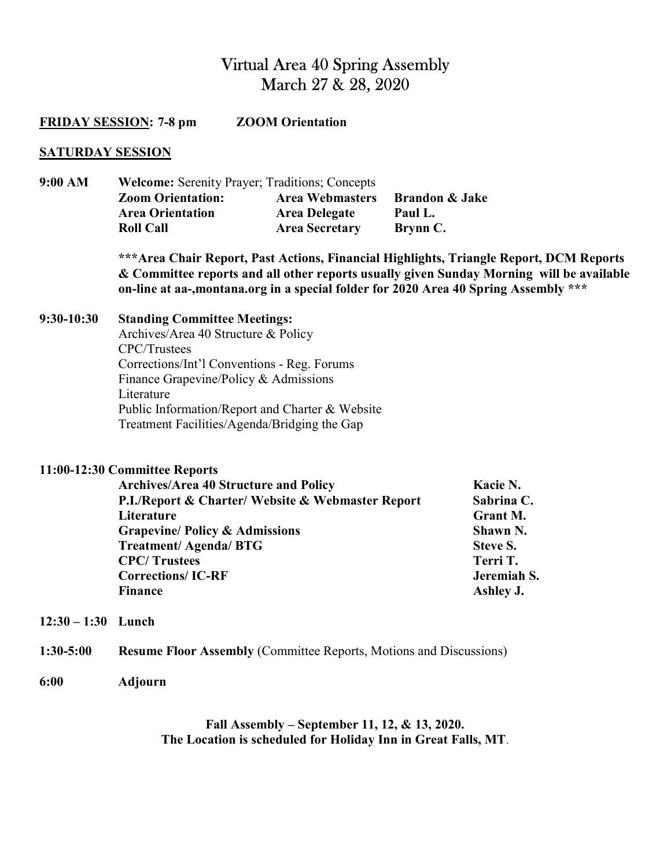# Virtual Area 40 Spring Assembly March 27 & 28, 2020

| <b>ZOOM</b> Orientation<br><b>FRIDAY SESSION: 7-8 pm</b> |                                                                                                                                                                                                                                                                                                     |  |                                                  |                                                                                                           |
|----------------------------------------------------------|-----------------------------------------------------------------------------------------------------------------------------------------------------------------------------------------------------------------------------------------------------------------------------------------------------|--|--------------------------------------------------|-----------------------------------------------------------------------------------------------------------|
| <b>SATURDAY SESSION</b>                                  |                                                                                                                                                                                                                                                                                                     |  |                                                  |                                                                                                           |
| 9:00 AM                                                  | Welcome: Serenity Prayer; Traditions; Concepts<br><b>Zoom Orientation:</b><br><b>Area Webmasters</b><br><b>Area Orientation</b><br><b>Area Delegate</b><br><b>Roll Call</b><br><b>Area Secretary</b>                                                                                                |  | <b>Brandon &amp; Jake</b><br>Paul L.<br>Brynn C. |                                                                                                           |
|                                                          | *** Area Chair Report, Past Actions, Financial Highlights, Triangle Report, DCM Reports<br>& Committee reports and all other reports usually given Sunday Morning will be available<br>on-line at aa-,montana.org in a special folder for 2020 Area 40 Spring Assembly ***                          |  |                                                  |                                                                                                           |
| $9:30-10:30$                                             | <b>Standing Committee Meetings:</b><br>Archives/Area 40 Structure & Policy<br>CPC/Trustees<br>Corrections/Int'l Conventions - Reg. Forums<br>Finance Grapevine/Policy & Admissions<br>Literature<br>Public Information/Report and Charter & Website<br>Treatment Facilities/Agenda/Bridging the Gap |  |                                                  |                                                                                                           |
|                                                          | 11:00-12:30 Committee Reports<br><b>Archives/Area 40 Structure and Policy</b><br>P.I./Report & Charter/ Website & Webmaster Report<br>Literature<br><b>Grapevine/ Policy &amp; Admissions</b><br><b>Treatment/Agenda/BTG</b><br><b>CPC/Trustees</b><br><b>Corrections/IC-RF</b><br><b>Finance</b>   |  |                                                  | Kacie N.<br>Sabrina C.<br>Grant M.<br>Shawn N.<br><b>Steve S.</b><br>Terri T.<br>Jeremiah S.<br>Ashley J. |
| $12:30 - 1:30$ Lunch                                     |                                                                                                                                                                                                                                                                                                     |  |                                                  |                                                                                                           |
| 1:30-5:00                                                | <b>Resume Floor Assembly (Committee Reports, Motions and Discussions)</b>                                                                                                                                                                                                                           |  |                                                  |                                                                                                           |
| 6:00                                                     | <b>Adjourn</b>                                                                                                                                                                                                                                                                                      |  |                                                  |                                                                                                           |

Fall Assembly – September 11, 12, & 13, 2020. The Location is scheduled for Holiday Inn in Great Falls, MT.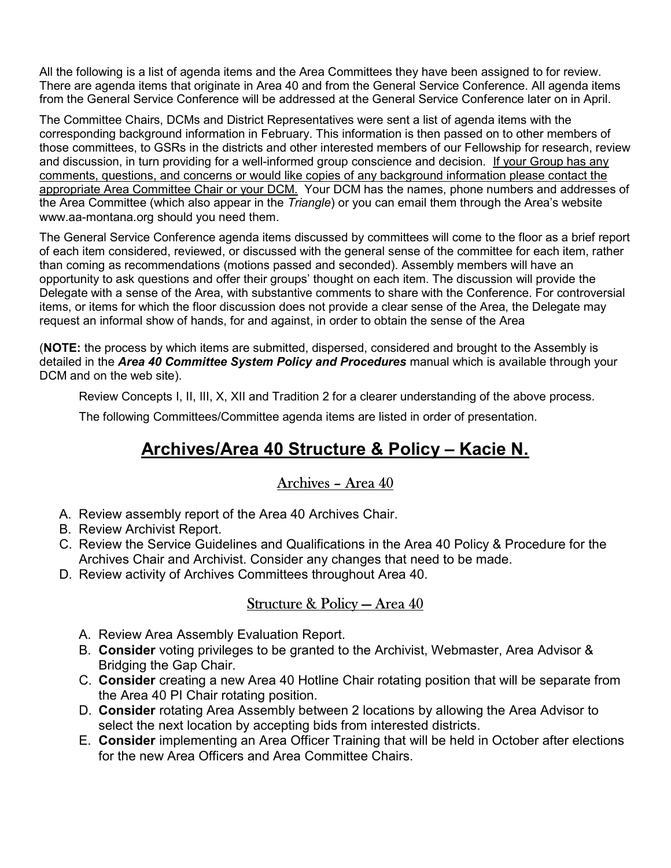All the following is a list of agenda items and the Area Committees they have been assigned to for review. There are agenda items that originate in Area 40 and from the General Service Conference. All agenda items from the General Service Conference will be addressed at the General Service Conference later on in April.

The Committee Chairs, DCMs and District Representatives were sent a list of agenda items with the corresponding background information in February. This information is then passed on to other members of those committees, to GSRs in the districts and other interested members of our Fellowship for research, review and discussion, in turn providing for a well-informed group conscience and decision. If your Group has any comments, questions, and concerns or would like copies of any background information please contact the appropriate Area Committee Chair or your DCM. Your DCM has the names, phone numbers and addresses of the Area Committee (which also appear in the Triangle) or you can email them through the Area's website www.aa-montana.org should you need them.

The General Service Conference agenda items discussed by committees will come to the floor as a brief report of each item considered, reviewed, or discussed with the general sense of the committee for each item, rather than coming as recommendations (motions passed and seconded). Assembly members will have an opportunity to ask questions and offer their groups' thought on each item. The discussion will provide the Delegate with a sense of the Area, with substantive comments to share with the Conference. For controversial items, or items for which the floor discussion does not provide a clear sense of the Area, the Delegate may request an informal show of hands, for and against, in order to obtain the sense of the Area

(NOTE: the process by which items are submitted, dispersed, considered and brought to the Assembly is detailed in the Area 40 Committee System Policy and Procedures manual which is available through your DCM and on the web site).

Review Concepts I, II, III, X, XII and Tradition 2 for a clearer understanding of the above process.

The following Committees/Committee agenda items are listed in order of presentation.

# Archives/Area 40 Structure & Policy – Kacie N.

#### Archives – Area 40

- A. Review assembly report of the Area 40 Archives Chair.
- B. Review Archivist Report.
- C. Review the Service Guidelines and Qualifications in the Area 40 Policy & Procedure for the Archives Chair and Archivist. Consider any changes that need to be made.
- D. Review activity of Archives Committees throughout Area 40.

#### Structure & Policy — Area 40

- A. Review Area Assembly Evaluation Report.
- B. Consider voting privileges to be granted to the Archivist, Webmaster, Area Advisor & Bridging the Gap Chair.
- C. Consider creating a new Area 40 Hotline Chair rotating position that will be separate from the Area 40 PI Chair rotating position.
- D. Consider rotating Area Assembly between 2 locations by allowing the Area Advisor to select the next location by accepting bids from interested districts.
- E. Consider implementing an Area Officer Training that will be held in October after elections for the new Area Officers and Area Committee Chairs.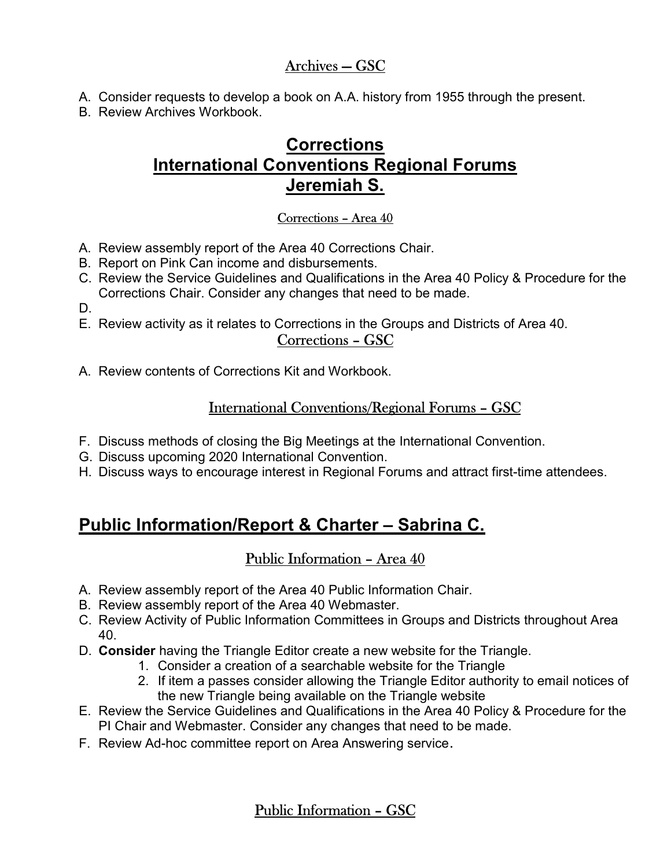### Archives — GSC

- A. Consider requests to develop a book on A.A. history from 1955 through the present.
- B. Review Archives Workbook.

# **Corrections** International Conventions Regional Forums Jeremiah S.

#### Corrections – Area 40

- A. Review assembly report of the Area 40 Corrections Chair.
- B. Report on Pink Can income and disbursements.
- C. Review the Service Guidelines and Qualifications in the Area 40 Policy & Procedure for the Corrections Chair. Consider any changes that need to be made.
- D.
- E. Review activity as it relates to Corrections in the Groups and Districts of Area 40.

#### Corrections – GSC

A. Review contents of Corrections Kit and Workbook.

### International Conventions/Regional Forums – GSC

- F. Discuss methods of closing the Big Meetings at the International Convention.
- G. Discuss upcoming 2020 International Convention.
- H. Discuss ways to encourage interest in Regional Forums and attract first-time attendees.

# Public Information/Report & Charter – Sabrina C.

### Public Information – Area 40

- A. Review assembly report of the Area 40 Public Information Chair.
- B. Review assembly report of the Area 40 Webmaster.
- C. Review Activity of Public Information Committees in Groups and Districts throughout Area 40.
- D. Consider having the Triangle Editor create a new website for the Triangle.
	- 1. Consider a creation of a searchable website for the Triangle
		- 2. If item a passes consider allowing the Triangle Editor authority to email notices of the new Triangle being available on the Triangle website
- E. Review the Service Guidelines and Qualifications in the Area 40 Policy & Procedure for the PI Chair and Webmaster. Consider any changes that need to be made.
- F. Review Ad-hoc committee report on Area Answering service.

### Public Information – GSC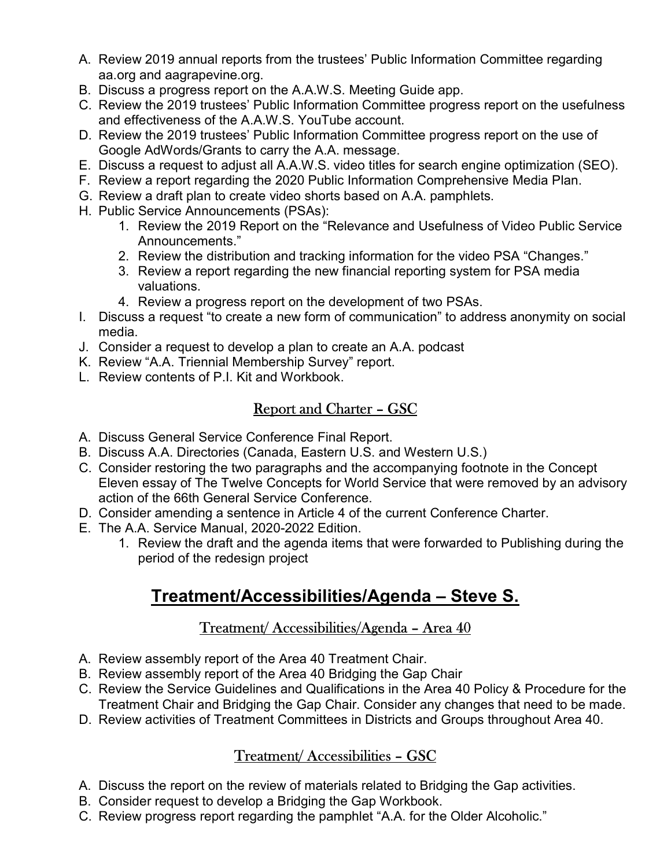- A. Review 2019 annual reports from the trustees' Public Information Committee regarding aa.org and aagrapevine.org.
- B. Discuss a progress report on the A.A.W.S. Meeting Guide app.
- C. Review the 2019 trustees' Public Information Committee progress report on the usefulness and effectiveness of the A.A.W.S. YouTube account.
- D. Review the 2019 trustees' Public Information Committee progress report on the use of Google AdWords/Grants to carry the A.A. message.
- E. Discuss a request to adjust all A.A.W.S. video titles for search engine optimization (SEO).
- F. Review a report regarding the 2020 Public Information Comprehensive Media Plan.
- G. Review a draft plan to create video shorts based on A.A. pamphlets.
- H. Public Service Announcements (PSAs):
	- 1. Review the 2019 Report on the "Relevance and Usefulness of Video Public Service Announcements."
	- 2. Review the distribution and tracking information for the video PSA "Changes."
	- 3. Review a report regarding the new financial reporting system for PSA media valuations.
	- 4. Review a progress report on the development of two PSAs.
- I. Discuss a request "to create a new form of communication" to address anonymity on social media.
- J. Consider a request to develop a plan to create an A.A. podcast
- K. Review "A.A. Triennial Membership Survey" report.
- L. Review contents of P.I. Kit and Workbook.

## Report and Charter – GSC

- A. Discuss General Service Conference Final Report.
- B. Discuss A.A. Directories (Canada, Eastern U.S. and Western U.S.)
- C. Consider restoring the two paragraphs and the accompanying footnote in the Concept Eleven essay of The Twelve Concepts for World Service that were removed by an advisory action of the 66th General Service Conference.
- D. Consider amending a sentence in Article 4 of the current Conference Charter.
- E. The A.A. Service Manual, 2020-2022 Edition.
	- 1. Review the draft and the agenda items that were forwarded to Publishing during the period of the redesign project

# Treatment/Accessibilities/Agenda – Steve S.

### Treatment/ Accessibilities/Agenda – Area 40

- A. Review assembly report of the Area 40 Treatment Chair.
- B. Review assembly report of the Area 40 Bridging the Gap Chair
- C. Review the Service Guidelines and Qualifications in the Area 40 Policy & Procedure for the Treatment Chair and Bridging the Gap Chair. Consider any changes that need to be made.
- D. Review activities of Treatment Committees in Districts and Groups throughout Area 40.

## Treatment/ Accessibilities – GSC

- A. Discuss the report on the review of materials related to Bridging the Gap activities.
- B. Consider request to develop a Bridging the Gap Workbook.
- C. Review progress report regarding the pamphlet "A.A. for the Older Alcoholic."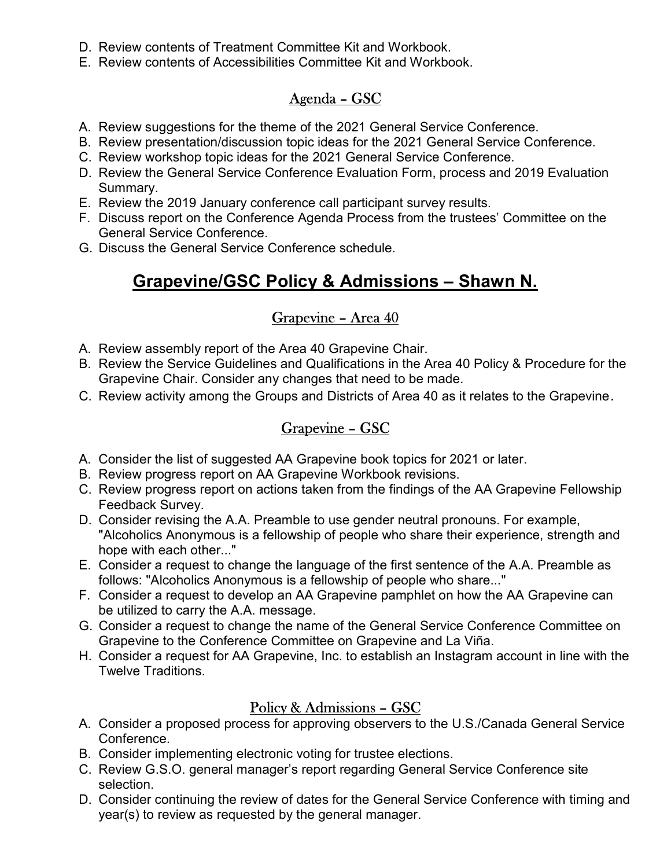- D. Review contents of Treatment Committee Kit and Workbook.
- E. Review contents of Accessibilities Committee Kit and Workbook.

## Agenda – GSC

- A. Review suggestions for the theme of the 2021 General Service Conference.
- B. Review presentation/discussion topic ideas for the 2021 General Service Conference.
- C. Review workshop topic ideas for the 2021 General Service Conference.
- D. Review the General Service Conference Evaluation Form, process and 2019 Evaluation Summary.
- E. Review the 2019 January conference call participant survey results.
- F. Discuss report on the Conference Agenda Process from the trustees' Committee on the General Service Conference.
- G. Discuss the General Service Conference schedule.

## Grapevine/GSC Policy & Admissions – Shawn N.

### Grapevine – Area 40

- A. Review assembly report of the Area 40 Grapevine Chair.
- B. Review the Service Guidelines and Qualifications in the Area 40 Policy & Procedure for the Grapevine Chair. Consider any changes that need to be made.
- C. Review activity among the Groups and Districts of Area 40 as it relates to the Grapevine.

### Grapevine – GSC

- A. Consider the list of suggested AA Grapevine book topics for 2021 or later.
- B. Review progress report on AA Grapevine Workbook revisions.
- C. Review progress report on actions taken from the findings of the AA Grapevine Fellowship Feedback Survey.
- D. Consider revising the A.A. Preamble to use gender neutral pronouns. For example, "Alcoholics Anonymous is a fellowship of people who share their experience, strength and hope with each other..."
- E. Consider a request to change the language of the first sentence of the A.A. Preamble as follows: "Alcoholics Anonymous is a fellowship of people who share..."
- F. Consider a request to develop an AA Grapevine pamphlet on how the AA Grapevine can be utilized to carry the A.A. message.
- G. Consider a request to change the name of the General Service Conference Committee on Grapevine to the Conference Committee on Grapevine and La Viña.
- H. Consider a request for AA Grapevine, Inc. to establish an Instagram account in line with the Twelve Traditions.

### Policy & Admissions – GSC

- A. Consider a proposed process for approving observers to the U.S./Canada General Service **Conference**
- B. Consider implementing electronic voting for trustee elections.
- C. Review G.S.O. general manager's report regarding General Service Conference site selection.
- D. Consider continuing the review of dates for the General Service Conference with timing and year(s) to review as requested by the general manager.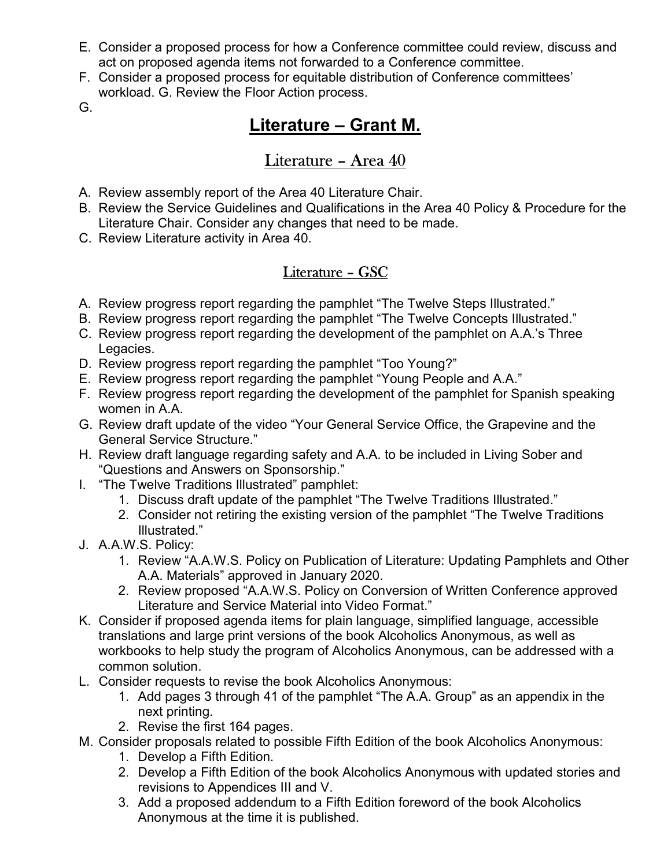- E. Consider a proposed process for how a Conference committee could review, discuss and act on proposed agenda items not forwarded to a Conference committee.
- F. Consider a proposed process for equitable distribution of Conference committees' workload. G. Review the Floor Action process.
- G.

# Literature – Grant M.

## Literature – Area 40

- A. Review assembly report of the Area 40 Literature Chair.
- B. Review the Service Guidelines and Qualifications in the Area 40 Policy & Procedure for the Literature Chair. Consider any changes that need to be made.
- C. Review Literature activity in Area 40.

## Literature – GSC

- A. Review progress report regarding the pamphlet "The Twelve Steps Illustrated."
- B. Review progress report regarding the pamphlet "The Twelve Concepts Illustrated."
- C. Review progress report regarding the development of the pamphlet on A.A.'s Three Legacies.
- D. Review progress report regarding the pamphlet "Too Young?"
- E. Review progress report regarding the pamphlet "Young People and A.A."
- F. Review progress report regarding the development of the pamphlet for Spanish speaking women in A.A.
- G. Review draft update of the video "Your General Service Office, the Grapevine and the General Service Structure."
- H. Review draft language regarding safety and A.A. to be included in Living Sober and "Questions and Answers on Sponsorship."
- I. "The Twelve Traditions Illustrated" pamphlet:
	- 1. Discuss draft update of the pamphlet "The Twelve Traditions Illustrated."
	- 2. Consider not retiring the existing version of the pamphlet "The Twelve Traditions Illustrated."
- J. A.A.W.S. Policy:
	- 1. Review "A.A.W.S. Policy on Publication of Literature: Updating Pamphlets and Other A.A. Materials" approved in January 2020.
	- 2. Review proposed "A.A.W.S. Policy on Conversion of Written Conference approved Literature and Service Material into Video Format."
- K. Consider if proposed agenda items for plain language, simplified language, accessible translations and large print versions of the book Alcoholics Anonymous, as well as workbooks to help study the program of Alcoholics Anonymous, can be addressed with a common solution.
- L. Consider requests to revise the book Alcoholics Anonymous:
	- 1. Add pages 3 through 41 of the pamphlet "The A.A. Group" as an appendix in the next printing.
	- 2. Revise the first 164 pages.
- M. Consider proposals related to possible Fifth Edition of the book Alcoholics Anonymous:
	- 1. Develop a Fifth Edition.
	- 2. Develop a Fifth Edition of the book Alcoholics Anonymous with updated stories and revisions to Appendices III and V.
	- 3. Add a proposed addendum to a Fifth Edition foreword of the book Alcoholics Anonymous at the time it is published.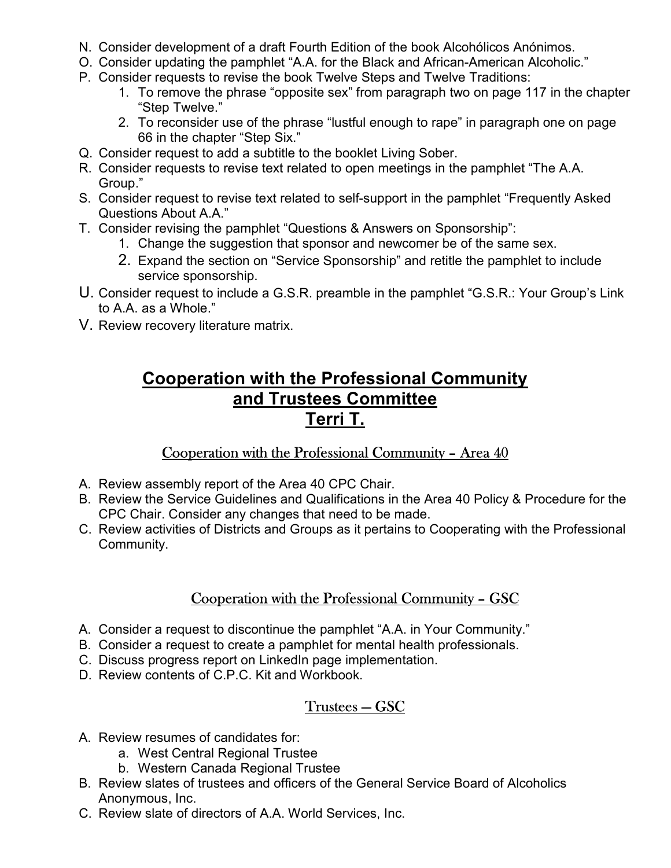- N. Consider development of a draft Fourth Edition of the book Alcohólicos Anónimos.
- O. Consider updating the pamphlet "A.A. for the Black and African-American Alcoholic."
- P. Consider requests to revise the book Twelve Steps and Twelve Traditions:
	- 1. To remove the phrase "opposite sex" from paragraph two on page 117 in the chapter "Step Twelve."
	- 2. To reconsider use of the phrase "lustful enough to rape" in paragraph one on page 66 in the chapter "Step Six."
- Q. Consider request to add a subtitle to the booklet Living Sober.
- R. Consider requests to revise text related to open meetings in the pamphlet "The A.A. Group."
- S. Consider request to revise text related to self-support in the pamphlet "Frequently Asked Questions About A.A."
- T. Consider revising the pamphlet "Questions & Answers on Sponsorship":
	- 1. Change the suggestion that sponsor and newcomer be of the same sex.
	- 2. Expand the section on "Service Sponsorship" and retitle the pamphlet to include service sponsorship.
- U. Consider request to include a G.S.R. preamble in the pamphlet "G.S.R.: Your Group's Link to A.A. as a Whole."
- V. Review recovery literature matrix.

## Cooperation with the Professional Community and Trustees Committee Terri T.

### Cooperation with the Professional Community – Area 40

- A. Review assembly report of the Area 40 CPC Chair.
- B. Review the Service Guidelines and Qualifications in the Area 40 Policy & Procedure for the CPC Chair. Consider any changes that need to be made.
- C. Review activities of Districts and Groups as it pertains to Cooperating with the Professional Community.

### Cooperation with the Professional Community – GSC

- A. Consider a request to discontinue the pamphlet "A.A. in Your Community."
- B. Consider a request to create a pamphlet for mental health professionals.
- C. Discuss progress report on LinkedIn page implementation.
- D. Review contents of C.P.C. Kit and Workbook.

### Trustees — GSC

- A. Review resumes of candidates for:
	- a. West Central Regional Trustee
	- b. Western Canada Regional Trustee
- B. Review slates of trustees and officers of the General Service Board of Alcoholics Anonymous, Inc.
- C. Review slate of directors of A.A. World Services, Inc.